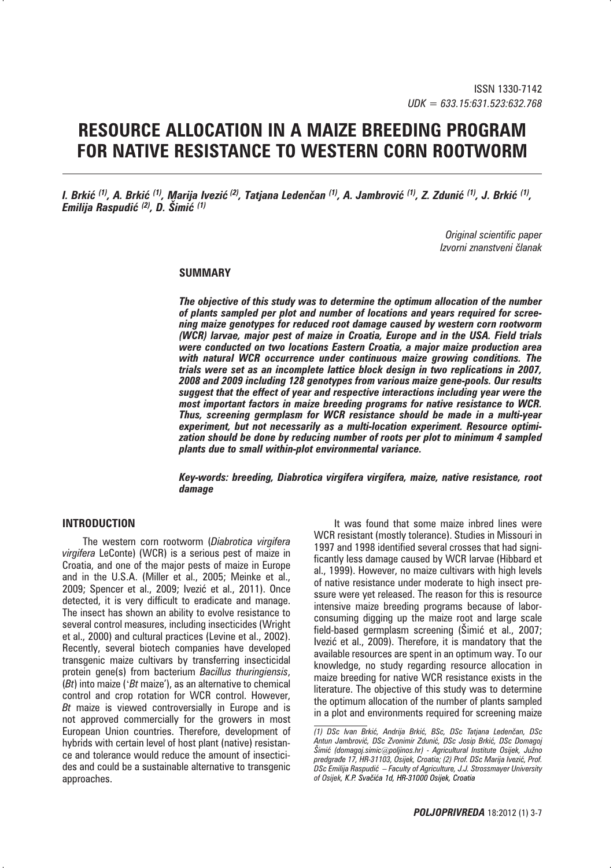# **RESOURCE ALLOCATION IN A MAIZE BREEDING PROGRAM FOR NATIVE RESISTANCE TO WESTERN CORN ROOTWORM**

*I. Brkić <sup>(1)</sup>, A. Brkić <sup>(1)</sup>, Marija Ivezić <sup>(2)</sup>, Tatjana Ledenčan <sup>(1)</sup>, A. Jambrović <sup>(1)</sup>, Z. Zdunić <sup>(1)</sup>, J. Brkić <sup>(1)</sup>, Emilija Raspudi- (2), D. Šimi- (1)*

> *Original scientific paper Izvorni znanstveni ~lanak*

#### **SUMMARY**

*The objective of this study was to determine the optimum allocation of the number of plants sampled per plot and number of locations and years required for screening maize genotypes for reduced root damage caused by western corn rootworm (WCR) larvae, major pest of maize in Croatia, Europe and in the USA. Field trials were conducted on two locations Eastern Croatia, a major maize production area with natural WCR occurrence under continuous maize growing conditions. The trials were set as an incomplete lattice block design in two replications in 2007, 2008 and 2009 including 128 genotypes from various maize gene-pools. Our results suggest that the effect of year and respective interactions including year were the most important factors in maize breeding programs for native resistance to WCR. Thus, screening germplasm for WCR resistance should be made in a multi-year experiment, but not necessarily as a multi-location experiment. Resource optimization should be done by reducing number of roots per plot to minimum 4 sampled plants due to small within-plot environmental variance.*

*Key-words: breeding, Diabrotica virgifera virgifera, maize, native resistance, root damage*

## **INTRODUCTION**

The western corn rootworm (*Diabrotica virgifera virgifera* LeConte) (WCR) is a serious pest of maize in Croatia, and one of the major pests of maize in Europe and in the U.S.A. (Miller et al., 2005; Meinke et al., 2009; Spencer et al., 2009; Ivezić et al., 2011). Once detected, it is very difficult to eradicate and manage. The insect has shown an ability to evolve resistance to several control measures, including insecticides (Wright et al., 2000) and cultural practices (Levine et al., 2002). Recently, several biotech companies have developed transgenic maize cultivars by transferring insecticidal protein gene(s) from bacterium *Bacillus thuringiensis*, (*Bt*) into maize ('*Bt* maize'), as an alternative to chemical control and crop rotation for WCR control. However, *Bt* maize is viewed controversially in Europe and is not approved commercially for the growers in most European Union countries. Therefore, development of hybrids with certain level of host plant (native) resistance and tolerance would reduce the amount of insecticides and could be a sustainable alternative to transgenic approaches.

It was found that some maize inbred lines were WCR resistant (mostly tolerance). Studies in Missouri in 1997 and 1998 identified several crosses that had significantly less damage caused by WCR larvae (Hibbard et al., 1999). However, no maize cultivars with high levels of native resistance under moderate to high insect pressure were yet released. The reason for this is resource intensive maize breeding programs because of laborconsuming digging up the maize root and large scale field-based germplasm screening (Šimić et al., 2007; Ivezić et al., 2009). Therefore, it is mandatory that the available resources are spent in an optimum way. To our knowledge, no study regarding resource allocation in maize breeding for native WCR resistance exists in the literature. The objective of this study was to determine the optimum allocation of the number of plants sampled in a plot and environments required for screening maize

*<sup>(1)</sup> DSc Ivan Brki}, Andrija Brki}, BSc, DSc Tatjana Leden~an, DSc Antun Jambrovi}, DSc Zvonimir Zduni}, DSc Josip Brki}, DSc Domagoj [imi} (domagoj.simic@poljinos.hr) - Agricultural Institute Osijek, Ju`no*  predgrađe 17, HR-31103, Osijek, Croatia; (2) Prof. DSc Marija Ivezić, Prof. *DSc Emilija Raspudi} – Faculty of Agriculture, J.J. Strossmayer University of Osijek, K.P. Sva~i}a 1d, HR-31000 Osijek, Croatia*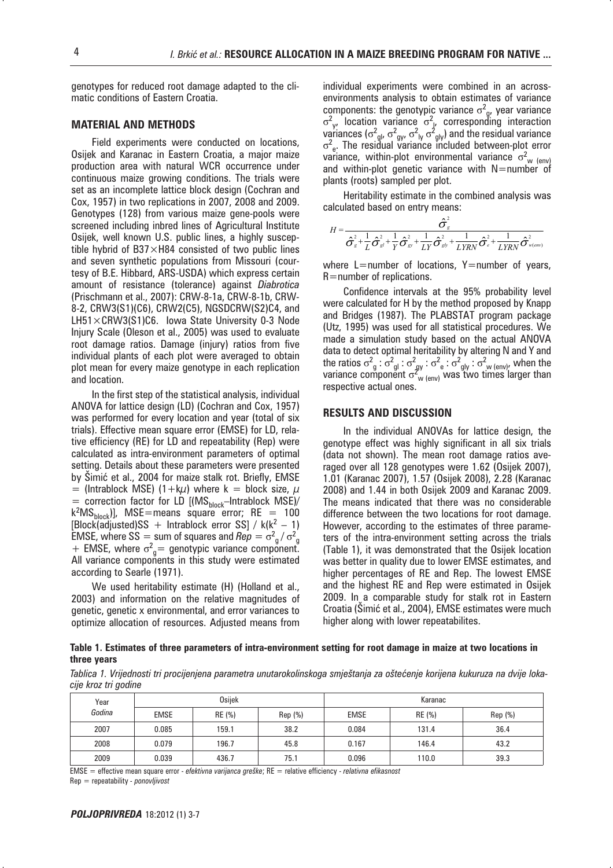genotypes for reduced root damage adapted to the climatic conditions of Eastern Croatia.

#### **MATERIAL AND METHODS**

Field experiments were conducted on locations, Osijek and Karanac in Eastern Croatia, a major maize production area with natural WCR occurrence under continuous maize growing conditions. The trials were set as an incomplete lattice block design (Cochran and Cox, 1957) in two replications in 2007, 2008 and 2009. Genotypes (128) from various maize gene-pools were screened including inbred lines of Agricultural Institute Osijek, well known U.S. public lines, a highly susceptible hybrid of B37 $\times$ H84 consisted of two public lines and seven synthetic populations from Missouri (courtesy of B.E. Hibbard, ARS-USDA) which express certain amount of resistance (tolerance) against *Diabrotica* (Prischmann et al., 2007): CRW-8-1a, CRW-8-1b, CRW-8-2, CRW3(S1)(C6), CRW2(C5), NGSDCRW(S2)C4, and LH51×CRW3(S1)C6. Iowa State University 0-3 Node Injury Scale (Oleson et al., 2005) was used to evaluate root damage ratios. Damage (injury) ratios from five individual plants of each plot were averaged to obtain plot mean for every maize genotype in each replication and location.

In the first step of the statistical analysis, individual ANOVA for lattice design (LD) (Cochran and Cox, 1957) was performed for every location and year (total of six trials). Effective mean square error (EMSE) for LD, relative efficiency (RE) for LD and repeatability (Rep) were calculated as intra-environment parameters of optimal setting. Details about these parameters were presented by Šimić et al., 2004 for maize stalk rot. Briefly, EMSE = (Intrablock MSE) (1+k $\mu$ ) where k = block size,  $\mu$  $=$  correction factor for LD [(MS $_{\text{block}}$ -Intrablock MSE)/  $k^2MS_{block}$ ], MSE=means square error; RE = 100  $[Block( $\overline{adj$ usted)$ SS + Intrablock error SS] / k( $k^2 - 1$ ) EMSE, where SS = sum of squares and  $\text{Rep} = \sigma_g^2 / \sigma^2$ <br>+ FMSE, where  $\sigma^2$  = genotypic variance component EMSE, where  $s3 = \sinh \theta$  squares and  $nep = \theta \frac{1}{g} / \theta \frac{1}{g}$ <br>+ EMSE, where  $\sigma^2 \frac{1}{g}$  genotypic variance component. All variance components in this study were estimated according to Searle (1971).

We used heritability estimate (H) (Holland et al., 2003) and information on the relative magnitudes of genetic, genetic x environmental, and error variances to optimize allocation of resources. Adjusted means from individual experiments were combined in an acrossenvironments analysis to obtain estimates of variance components: the genotypic variance  $\sigma^2$  location variance  $\sigma^2$  corresport <sup>2</sup><sub>g</sub>, year variance .<br>Vi  $\frac{2}{y}$ , location variance  $\sigma^2$ , corresponding interaction ariance l variances ( $\sigma^2_{\mathsf{gl}},$   $\sigma^2_{\mathsf{gy}},$   $\sigma^2_{\mathsf{ly}}$   $\sigma^2_{\mathsf{gl}}$ ) and the residual variance<br> $\sigma^2_{\mathsf{e}}$ . The residual variance included between-plot error variance, within-plot environmental variance  $\sigma_{w_{(env)}}^2$ <br>and within-plot genetic variance with N=number of and within-plot genetic variance with  $N=$ number of plants (roots) sampled per plot.

Heritability estimate in the combined analysis was calculated based on entry means:

$$
H = \frac{\hat{\sigma}_{\varepsilon}^2}{\hat{\sigma}_{\varepsilon}^2 + \frac{1}{L}\hat{\sigma}_{\varepsilon'}^2 + \frac{1}{Y}\hat{\sigma}_{\varepsilon'}^2 + \frac{1}{LY}\hat{\sigma}_{\varepsilon b'}^2 + \frac{1}{LYRN}\hat{\sigma}_{\varepsilon}^2 + \frac{1}{LYRN}\hat{\sigma}_{\varepsilon (em)}^2}
$$

where  $L=$ number of locations,  $Y=$ number of years, R=number of replications.

Confidence intervals at the 95% probability level were calculated for H by the method proposed by Knapp and Bridges (1987). The PLABSTAT program package (Utz, 1995) was used for all statistical procedures. We made a simulation study based on the actual ANOVA data to detect optimal heritability by altering N and Y and the ratios  $\sigma_{g}^{2}$  :  $\sigma_{gl}^{2}$  :  $\sigma_{gy}^{2}$  :  $\sigma_{e}^{2}$  :  $\sigma_{gy}^{2}$  :  $\sigma_{gly}^{2}$  :  $\sigma_{gly}^{2}$  we lenv), when the variance component  $\sigma_{e}^{2}$  , was two times larger than variance component  $\sigma_{_{\mathsf{W}}\left(\mathsf{env}\right)}^{x}$  was two times larger than<br>respective actual ones respective actual ones.

#### **RESULTS AND DISCUSSION**

In the individual ANOVAs for lattice design, the genotype effect was highly significant in all six trials (data not shown). The mean root damage ratios averaged over all 128 genotypes were 1.62 (Osijek 2007), 1.01 (Karanac 2007), 1.57 (Osijek 2008), 2.28 (Karanac 2008) and 1.44 in both Osijek 2009 and Karanac 2009. The means indicated that there was no considerable difference between the two locations for root damage. However, according to the estimates of three parameters of the intra-environment setting across the trials (Table 1), it was demonstrated that the Osijek location was better in quality due to lower EMSE estimates, and higher percentages of RE and Rep. The lowest EMSE and the highest RE and Rep were estimated in Osijek 2009. In a comparable study for stalk rot in Eastern Croatia (Simić et al., 2004), EMSE estimates were much higher along with lower repeatabilites.

**Table 1. Estimates of three parameters of intra-environment setting for root damage in maize at two locations in three years**

Tablica 1. Vrijednosti tri procijenjena parametra unutarokolinskoga smještanja za oštećenje korijena kukuruza na dvije loka*cije kroz tri godine*

| Year<br>Godina | <b>Osijek</b> |        |        | Karanac     |        |        |
|----------------|---------------|--------|--------|-------------|--------|--------|
|                | <b>EMSE</b>   | RE (%) | Rep(%) | <b>EMSE</b> | RE (%) | Rep(%) |
| 2007           | 0.085         | 159.1  | 38.2   | 0.084       | 131.4  | 36.4   |
| 2008           | 0.079         | 196.7  | 45.8   | 0.167       | 146.4  | 43.2   |
| 2009           | 0.039         | 436.7  | 75.1   | 0.096       | 110.0  | 39.3   |

EMSE = effective mean square error - *efektivna varijanca gre{ke*; RE = relative efficiency - *relativna efikasnost*

Rep = repeatability *- ponovljivost*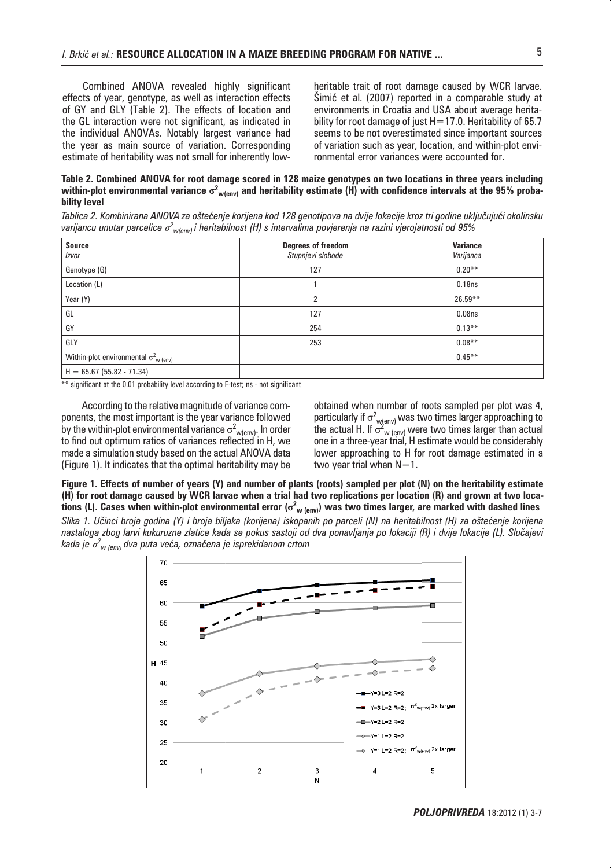Combined ANOVA revealed highly significant effects of year, genotype, as well as interaction effects of GY and GLY (Table 2). The effects of location and the GL interaction were not significant, as indicated in the individual ANOVAs. Notably largest variance had the year as main source of variation. Corresponding estimate of heritability was not small for inherently lowheritable trait of root damage caused by WCR larvae. Šimić et al. (2007) reported in a comparable study at environments in Croatia and USA about average heritability for root damage of just H=17.0. Heritability of 65.7 seems to be not overestimated since important sources of variation such as year, location, and within-plot environmental error variances were accounted for.

#### **Table 2. Combined ANOVA for root damage scored in 128 maize genotypes on two locations in three years including**  within-plot environmental variance  $\sigma^2_{w(\text{env})}$  and heritability estimate (H) with confidence intervals at the 95% proba**bility level**

Tablica 2. Kombinirana ANOVA za oštećenje korijena kod 128 genotipova na dvije lokacije kroz tri godine uključujući okolinsku varijancu unutar parcelice  $\sigma^2_{w(\text{env})}$ i heritabilnost (H) s intervalima povjerenja na razini vjerojatnosti od 95%

| <b>Source</b><br>Izvor                               | Degrees of freedom<br>Stupnjevi slobode | <b>Variance</b><br>Varijanca |
|------------------------------------------------------|-----------------------------------------|------------------------------|
| Genotype (G)                                         | 127                                     | $0.20***$                    |
| Location (L)                                         |                                         | 0.18ns                       |
| Year (Y)                                             | 2                                       | $26.59**$                    |
| GL                                                   | 127                                     | 0.08 <sub>ns</sub>           |
| GY                                                   | 254                                     | $0.13***$                    |
| GLY                                                  | 253                                     | $0.08***$                    |
| Within-plot environmental $\sigma_{w(\text{env})}^2$ |                                         | $0.45***$                    |
| $H = 65.67(55.82 - 71.34)$                           |                                         |                              |

\*\* significant at the 0.01 probability level according to F-test; ns - not significant

According to the relative magnitude of variance components, the most important is the year variance followed by the within-plot environmental variance  $\sigma^2_{\mathsf{w}(\mathsf{env})}$ . In order<br>to find out ontimum ratios of variances reflected in H, we to find out optimum ratios of variances reflected in H, we made a simulation study based on the actual ANOVA data (Figure 1). It indicates that the optimal heritability may be

obtained when number of roots sampled per plot was 4, particularly if  $\sigma^2$ <sub>w(env)</sub> was two times larger approaching to<br>the actual H. If  $\sigma^2$  , , , , were two times larger than actual the actual H. If  $\sigma_{\text{w (env)}}^2$  were two times larger than actual<br>one in a three-vear trial. H estimate would be considerably one in a three-year trial, H estimate would be considerably lower approaching to H for root damage estimated in a two year trial when  $N=1$ .

**Figure 1. Effects of number of years (Y) and number of plants (roots) sampled per plot (N) on the heritability estimate (H) for root damage caused by WCR larvae when a trial had two replications per location (R) and grown at two loca**tions (L). Cases when within-plot environmental error ( $\sigma^2_{|w| (env)}$ ) was two times larger, are marked with dashed lines

Slika 1. Učinci broja godina (Y) i broja biljaka (korijena) iskopanih po parceli (N) na heritabilnost (H) za oštećenje korijena nastaloga zbog larvi kukuruzne zlatice kada se pokus sastoji od dva ponavljanja po lokaciji (R) i dvije lokacije (L). Slučajevi kada je  $\sigma^2_{\omega_{\text{(env)}}}$ dva puta veća, označena je isprekidanom crtom

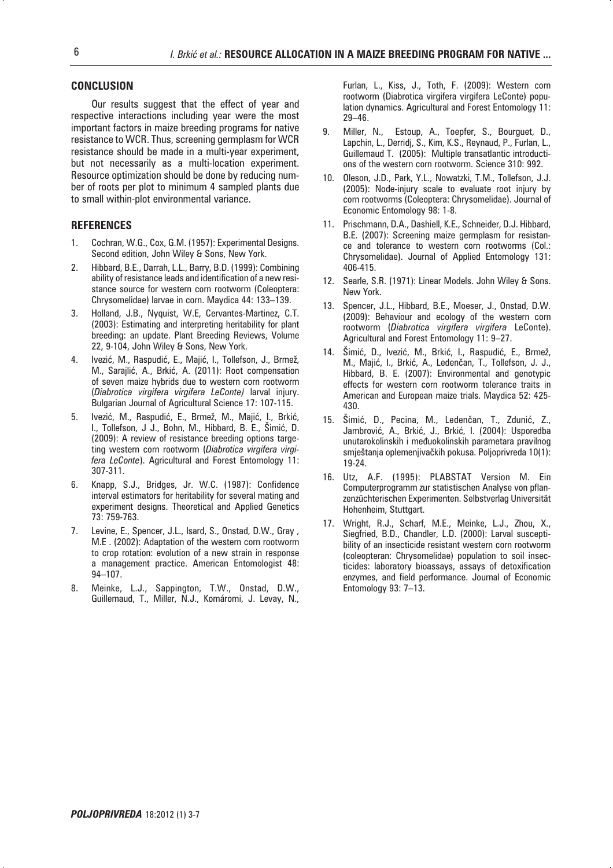#### **CONCLUSION**

Our results suggest that the effect of year and respective interactions including year were the most important factors in maize breeding programs for native resistance to WCR. Thus, screening germplasm for WCR resistance should be made in a multi-year experiment, but not necessarily as a multi-location experiment. Resource optimization should be done by reducing number of roots per plot to minimum 4 sampled plants due to small within-plot environmental variance.

#### **REFERENCES**

- 1. Cochran, W.G., Cox, G.M. (1957): Experimental Designs. Second edition, John Wiley & Sons, New York.
- 2. Hibbard, B.E., Darrah, L.L., Barry, B.D. (1999): Combining ability of resistance leads and identification of a new resistance source for western corn rootworm (Coleoptera: Chrysomelidae) larvae in corn. Maydica 44: 133–139.
- 3. Holland, J.B., Nyquist, W.E, Cervantes-Martinez, C.T. (2003): Estimating and interpreting heritability for plant breeding: an update. Plant Breeding Reviews, Volume 22, 9-104, John Wiley & Sons, New York.
- 4. Ivezić, M., Raspudić, E., Majić, I., Tollefson, J., Brmež, M., Sarajlić, A., Brkić, A. (2011): Root compensation of seven maize hybrids due to western corn rootworm (*Diabrotica virgifera virgifera LeConte)* larval injury. Bulgarian Journal of Agricultural Science 17: 107-115.
- 5. lvezić, M., Raspudić, E., Brmež, M., Majić, I., Brkić, I., Tollefson, J J., Bohn, M., Hibbard, B. E., Šimić, D. (2009): A review of resistance breeding options targeting western corn rootworm (*Diabrotica virgifera virgifera LeConte*). Agricultural and Forest Entomology 11: 307-311.
- 6. Knapp, S.J., Bridges, Jr. W.C. (1987): Confidence interval estimators for heritability for several mating and experiment designs. Theoretical and Applied Genetics 73: 759-763.
- 7. Levine, E., Spencer, J.L., Isard, S., Onstad, D.W., Gray , M.E . (2002): Adaptation of the western corn rootworm to crop rotation: evolution of a new strain in response a management practice. American Entomologist 48: 94–107.
- 8. Meinke, L.J., Sappington, T.W., Onstad, D.W., Guillemaud, T., Miller, N.J., Komáromi, J. Levay, N.,

Furlan, L., Kiss, J., Toth, F. (2009): Western corn rootworm (Diabrotica virgifera virgifera LeConte) population dynamics. Agricultural and Forest Entomology 11: 29–46.

- 9. Miller, N., Estoup, A., Toepfer, S., Bourguet, D., Lapchin, L., Derridj, S., Kim, K.S., Reynaud, P., Furlan, L., Guillemaud T. (2005): Multiple transatlantic introductions of the western corn rootworm. Science 310: 992.
- 10. Oleson, J.D., Park, Y.L., Nowatzki, T.M., Tollefson, J.J. (2005): Node-injury scale to evaluate root injury by corn rootworms (Coleoptera: Chrysomelidae). Journal of Economic Entomology 98: 1-8.
- 11. Prischmann, D.A., Dashiell, K.E., Schneider, D.J. Hibbard, B.E. (2007): Screening maize germplasm for resistance and tolerance to western corn rootworms (Col.: Chrysomelidae). Journal of Applied Entomology 131: 406-415.
- 12. Searle, S.R. (1971): Linear Models. John Wiley & Sons. New York.
- 13. Spencer, J.L., Hibbard, B.E., Moeser, J., Onstad, D.W. (2009): Behaviour and ecology of the western corn rootworm (*Diabrotica virgifera virgifera* LeConte). Agricultural and Forest Entomology 11: 9–27.
- 14. Šimić, D., Ivezić, M., Brkić, I., Raspudić, E., Brmež, M., Majić, I., Brkić, A., Ledenčan, T., Tollefson, J. J., Hibbard, B. E. (2007): Environmental and genotypic effects for western corn rootworm tolerance traits in American and European maize trials. Maydica 52: 425- 430.
- 15. Šimić, D., Pecina, M., Ledenčan, T., Zdunić, Z., Jambrović, A., Brkić, J., Brkić, I. (2004): Usporedba unutarokolinskih i međuokolinskih parametara pravilnog smještanja oplemenjivačkih pokusa. Poljoprivreda 10(1): 19-24.
- 16. Utz, A.F. (1995): PLABSTAT Version M. Ein Computerprogramm zur statistischen Analyse von pflanzenzüchterischen Experimenten. Selbstverlag Universität Hohenheim, Stuttgart.
- 17. Wright, R.J., Scharf, M.E., Meinke, L.J., Zhou, X., Siegfried, B.D., Chandler, L.D. (2000): Larval susceptibility of an insecticide resistant western corn rootworm (coleopteran: Chrysomelidae) population to soil insecticides: laboratory bioassays, assays of detoxification enzymes, and field performance. Journal of Economic Entomology 93: 7–13.